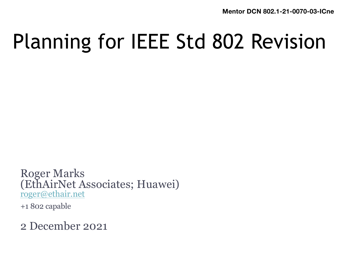## Planning for IEEE Std 802 Revision

Roger Marks (EthAirNet Associates; Huawei) [roger@ethair.net](mailto:roger@ethair.net)

+1 802 capable

2 December 2021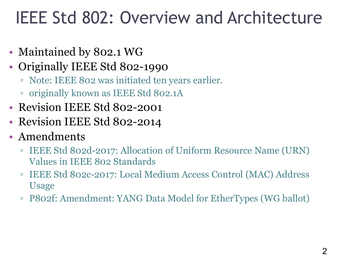#### IEEE Std 802: Overview and Architecture

- Maintained by 802.1 WG
- Originally IEEE Std 802-1990
	- Note: IEEE 802 was initiated ten years earlier.
	- originally known as IEEE Std 802.1A
- Revision IEEE Std 802-2001
- Revision IEEE Std 802-2014
- Amendments
	- IEEE Std 802d-2017: Allocation of Uniform Resource Name (URN) Values in IEEE 802 Standards
	- IEEE Std 802c-2017: Local Medium Access Control (MAC) Address Usage
	- P802f: Amendment: YANG Data Model for EtherTypes (WG ballot)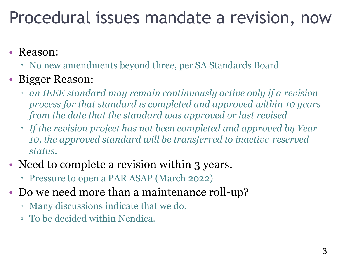#### Procedural issues mandate a revision, now 3

#### • Reason:

▫ No new amendments beyond three, per SA Standards Board

#### • Bigger Reason:

- *an IEEE standard may remain continuously active only if a revision process for that standard is completed and approved within 10 years from the date that the standard was approved or last revised*
- *If the revision project has not been completed and approved by Year 10, the approved standard will be transferred to inactive-reserved status.*
- Need to complete a revision within 3 years.
	- Pressure to open a PAR ASAP (March 2022)
- Do we need more than a maintenance roll-up?
	- Many discussions indicate that we do.
	- To be decided within Nendica.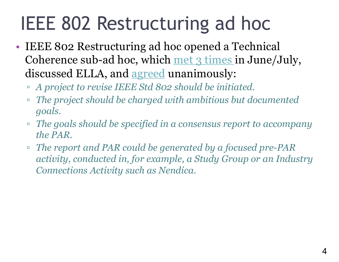#### IEEE 802 Restructuring ad hoc

- IEEE 802 Restructuring ad hoc opened a Technical Coherence sub-ad hoc, which [met 3 times](https://mentor.ieee.org/802-ec/documents?is_dcn=coherence) in June/July, discussed ELLA, and [agreed](https://mentor.ieee.org/802-ec/dcn/21/ec-21-0142-01-00EC-technical-coherence-sub-ad-hoc-22jun2021-notes.docx) unanimously:
	- *A project to revise IEEE Std 802 should be initiated.*
	- *The project should be charged with ambitious but documented goals.*
	- *The goals should be specified in a consensus report to accompany the PAR.*
	- *The report and PAR could be generated by a focused pre-PAR activity, conducted in, for example, a Study Group or an Industry Connections Activity such as Nendica.*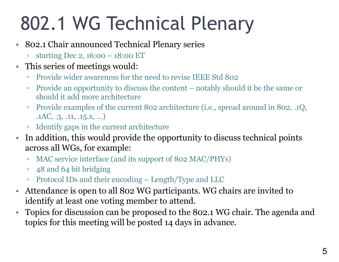# 802.1 WG Technical Plenary

- 802.1 Chair announced Technical Plenary series
	- starting Dec 2, 16:00 18:00 ET
- This series of meetings would:
	- Provide wider awareness for the need to revise IEEE Std 802
	- Provide an opportunity to discuss the content notably should it be the same or should it add more architecture
	- Provide examples of the current 802 architecture (i.e., spread around in 802, .1Q, .1AC, .3, .11, .15.x, …)
	- Identify gaps in the current architecture
- In addition, this would provide the opportunity to discuss technical points across all WGs, for example:
	- MAC service interface (and its support of 802 MAC/PHYs)
	- 48 and 64 bit bridging
	- Protocol IDs and their encoding Length/Type and LLC
- Attendance is open to all 802 WG participants. WG chairs are invited to identify at least one voting member to attend.
- Topics for discussion can be proposed to the 802.1 WG chair. The agenda and topics for this meeting will be posted 14 days in advance.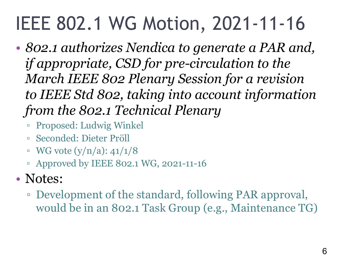## IEEE 802.1 WG Motion, 2021-11-16

- *802.1 authorizes Nendica to generate a PAR and, if appropriate, CSD for pre-circulation to the March IEEE 802 Plenary Session for a revision to IEEE Std 802, taking into account information from the 802.1 Technical Plenary*
	- Proposed: Ludwig Winkel
	- Seconded: Dieter Pröll
	- $\nu$  WG vote (y/n/a): 41/1/8
	- Approved by IEEE 802.1 WG, 2021-11-16
- Notes:
	- Development of the standard, following PAR approval, would be in an 802.1 Task Group (e.g., Maintenance TG)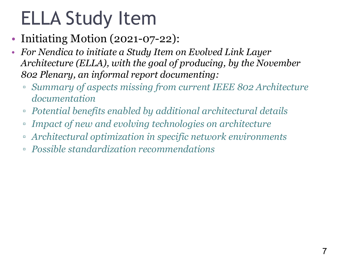### ELLA Study Item

- Initiating Motion (2021-07-22):
- *For Nendica to initiate a Study Item on Evolved Link Layer Architecture (ELLA), with the goal of producing, by the November 802 Plenary, an informal report documenting:*
	- *Summary of aspects missing from current IEEE 802 Architecture documentation*
	- *Potential benefits enabled by additional architectural details*
	- *Impact of new and evolving technologies on architecture*
	- *Architectural optimization in specific network environments*
	- *Possible standardization recommendations*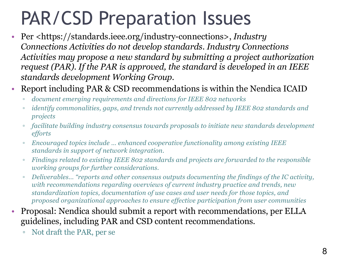### PAR/CSD Preparation Issues

- Per <https://standards.ieee.org/industry-connections>, *Industry Connections Activities do not develop standards. Industry Connections Activities may propose a new standard by submitting a project authorization request (PAR). If the PAR is approved, the standard is developed in an IEEE standards development Working Group.*
- Report including PAR & CSD recommendations is within the Nendica ICAID
	- *document emerging requirements and directions for IEEE 802 networks*
	- *identify commonalities, gaps, and trends not currently addressed by IEEE 802 standards and projects*
	- *facilitate building industry consensus towards proposals to initiate new standards development efforts*
	- *Encouraged topics include … enhanced cooperative functionality among existing IEEE standards in support of network integration.*
	- *Findings related to existing IEEE 802 standards and projects are forwarded to the responsible working groups for further considerations.*
	- *Deliverables… "reports and other consensus outputs documenting the findings of the IC activity, with recommendations regarding overviews of current industry practice and trends, new standardization topics, documentation of use cases and user needs for those topics, and proposed organizational approaches to ensure effective participation from user communities*
- Proposal: Nendica should submit a report with recommendations, per ELLA guidelines, including PAR and CSD content recommendations.
	- Not draft the PAR, per se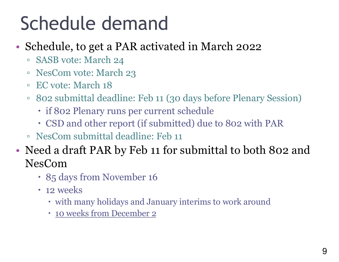## Schedule demand

- Schedule, to get a PAR activated in March 2022
	- SASB vote: March 24
	- NesCom vote: March 23
	- EC vote: March 18
	- 802 submittal deadline: Feb 11 (30 days before Plenary Session)
		- if 802 Plenary runs per current schedule
		- CSD and other report (if submitted) due to 802 with PAR
	- NesCom submittal deadline: Feb 11
- Need a draft PAR by Feb 11 for submittal to both 802 and NesCom
	- 85 days from November 16
	- 12 weeks
		- with many holidays and January interims to work around
		- 10 weeks from December 2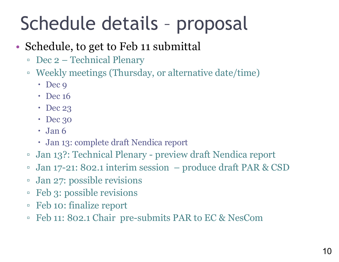## Schedule details – proposal

#### • Schedule, to get to Feb 11 submittal

- Dec 2 Technical Plenary
- Weekly meetings (Thursday, or alternative date/time)
	- $\cdot$  Dec 9
	- Dec 16
	- Dec 23
	- Dec 30
	- $\cdot$  Jan 6
	- Jan 13: complete draft Nendica report
- Jan 13?: Technical Plenary preview draft Nendica report
- Jan 17-21: 802.1 interim session produce draft PAR & CSD
- Jan 27: possible revisions
- Feb 3: possible revisions
- Feb 10: finalize report
- Feb 11: 802.1 Chair pre-submits PAR to EC & NesCom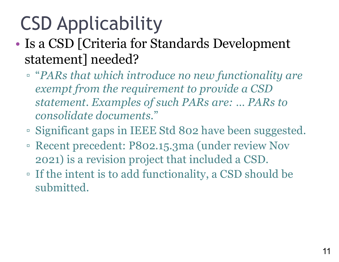# CSD Applicability

- Is a CSD [Criteria for Standards Development statement] needed?
	- "*PARs that which introduce no new functionality are exempt from the requirement to provide a CSD statement. Examples of such PARs are: … PARs to consolidate documents*."
	- Significant gaps in IEEE Std 802 have been suggested.
	- Recent precedent: P802.15.3ma (under review Nov 2021) is a revision project that included a CSD.
	- If the intent is to add functionality, a CSD should be submitted.